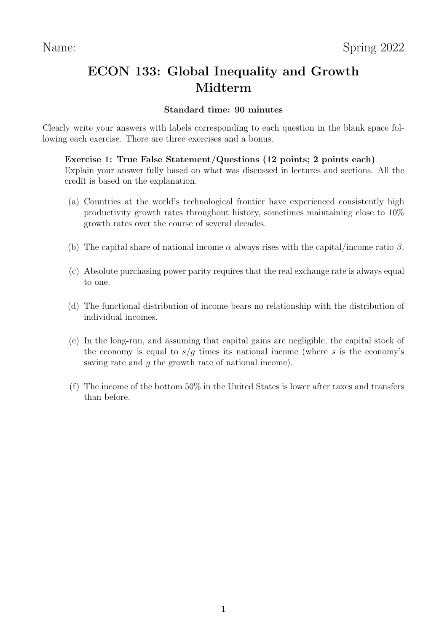# ECON 133: Global Inequality and Growth Midterm

# Standard time: 90 minutes

Clearly write your answers with labels corresponding to each question in the blank space following each exercise. There are three exercises and a bonus.

## Exercise 1: True False Statement/Questions (12 points; 2 points each)

Explain your answer fully based on what was discussed in lectures and sections. All the credit is based on the explanation.

- (a) Countries at the world's technological frontier have experienced consistently high productivity growth rates throughout history, sometimes maintaining close to 10% growth rates over the course of several decades.
- (b) The capital share of national income  $\alpha$  always rises with the capital/income ratio  $\beta$ .
- (c) Absolute purchasing power parity requires that the real exchange rate is always equal to one.
- (d) The functional distribution of income bears no relationship with the distribution of individual incomes.
- (e) In the long-run, and assuming that capital gains are negligible, the capital stock of the economy is equal to  $s/q$  times its national income (where s is the economy's saving rate and g the growth rate of national income).
- (f) The income of the bottom 50% in the United States is lower after taxes and transfers than before.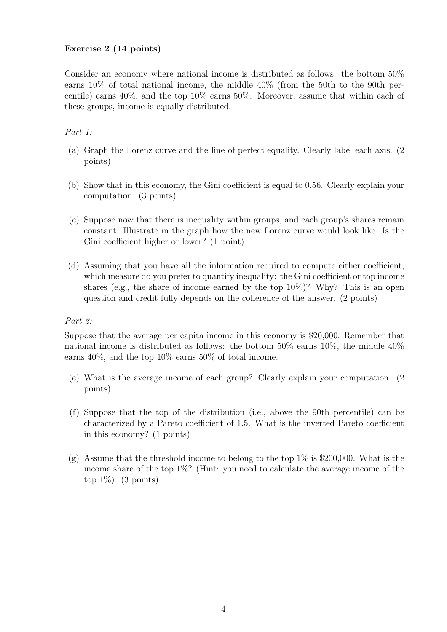#### Exercise 2 (14 points)

Consider an economy where national income is distributed as follows: the bottom 50% earns 10% of total national income, the middle 40% (from the 50th to the 90th percentile) earns 40%, and the top 10% earns 50%. Moreover, assume that within each of these groups, income is equally distributed.

### Part 1:

- (a) Graph the Lorenz curve and the line of perfect equality. Clearly label each axis. (2 points)
- (b) Show that in this economy, the Gini coefficient is equal to 0.56. Clearly explain your computation. (3 points)
- (c) Suppose now that there is inequality within groups, and each group's shares remain constant. Illustrate in the graph how the new Lorenz curve would look like. Is the Gini coefficient higher or lower? (1 point)
- (d) Assuming that you have all the information required to compute either coefficient, which measure do you prefer to quantify inequality: the Gini coefficient or top income shares (e.g., the share of income earned by the top  $10\%)$ ? Why? This is an open question and credit fully depends on the coherence of the answer. (2 points)

#### Part 2:

Suppose that the average per capita income in this economy is \$20,000. Remember that national income is distributed as follows: the bottom 50% earns 10%, the middle 40% earns 40%, and the top 10% earns 50% of total income.

- (e) What is the average income of each group? Clearly explain your computation. (2 points)
- (f) Suppose that the top of the distribution (i.e., above the 90th percentile) can be characterized by a Pareto coefficient of 1.5. What is the inverted Pareto coefficient in this economy? (1 points)
- (g) Assume that the threshold income to belong to the top  $1\%$  is \$200,000. What is the income share of the top 1%? (Hint: you need to calculate the average income of the top  $1\%$ ). (3 points)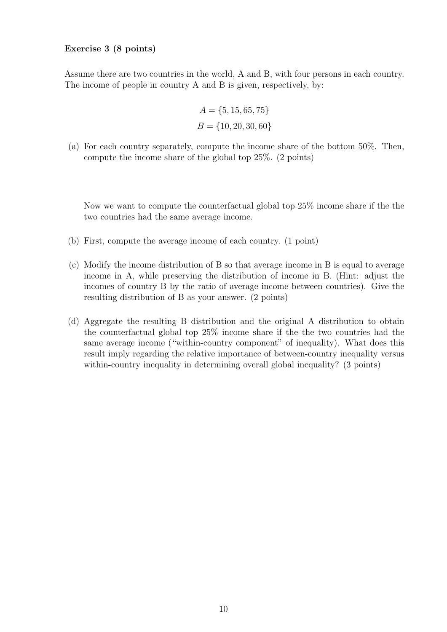#### Exercise 3 (8 points)

Assume there are two countries in the world, A and B, with four persons in each country. The income of people in country A and B is given, respectively, by:

$$
A = \{5, 15, 65, 75\}
$$
  

$$
B = \{10, 20, 30, 60\}
$$

(a) For each country separately, compute the income share of the bottom 50%. Then, compute the income share of the global top 25%. (2 points)

Now we want to compute the counterfactual global top 25% income share if the the two countries had the same average income.

- (b) First, compute the average income of each country. (1 point)
- (c) Modify the income distribution of B so that average income in B is equal to average income in A, while preserving the distribution of income in B. (Hint: adjust the incomes of country B by the ratio of average income between countries). Give the resulting distribution of B as your answer. (2 points)
- (d) Aggregate the resulting B distribution and the original A distribution to obtain the counterfactual global top 25% income share if the the two countries had the same average income ("within-country component" of inequality). What does this result imply regarding the relative importance of between-country inequality versus within-country inequality in determining overall global inequality? (3 points)